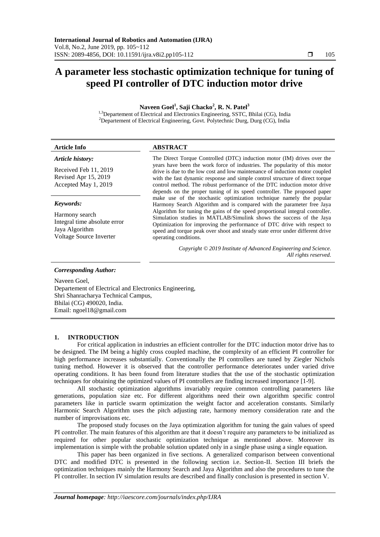# **A parameter less stochastic optimization technique for tuning of speed PI controller of DTC induction motor drive**

**Naveen Goel<sup>1</sup> , Saji Chacko<sup>2</sup> , R. N. Patel<sup>3</sup>**

<sup>1,3</sup>Departement of Electrical and Electronics Engineering, SSTC, Bhilai (CG), India <sup>2</sup>Departement of Electrical Engineering, Govt. Polytechnic Durg, Durg (CG), India

| <b>Article Info</b>                                                                         | <b>ABSTRACT</b>                                                                                                                                                                                                                                                                                                                           |
|---------------------------------------------------------------------------------------------|-------------------------------------------------------------------------------------------------------------------------------------------------------------------------------------------------------------------------------------------------------------------------------------------------------------------------------------------|
| Article history:<br>Received Feb 11, 2019                                                   | The Direct Torque Controlled (DTC) induction motor (IM) drives over the<br>years have been the work force of industries. The popularity of this motor<br>drive is due to the low cost and low maintenance of induction motor coupled                                                                                                      |
| Revised Apr 15, 2019<br>Accepted May 1, 2019                                                | with the fast dynamic response and simple control structure of direct torque<br>control method. The robust performance of the DTC induction motor drive<br>depends on the proper tuning of its speed controller. The proposed paper                                                                                                       |
| Keywords:                                                                                   | make use of the stochastic optimization technique namely the popular<br>Harmony Search Algorithm and is compared with the parameter free Jaya                                                                                                                                                                                             |
| Harmony search<br>Integral time absolute error<br>Jaya Algorithm<br>Voltage Source Inverter | Algorithm for tuning the gains of the speed proportional integral controller.<br>Simulation studies in MATLAB/Simulink shows the success of the Jaya<br>Optimization for improving the performance of DTC drive with respect to<br>speed and torque peak over shoot and steady state error under different drive<br>operating conditions. |
|                                                                                             | Convright © 2019 Institute of Advanced Engineering and Science                                                                                                                                                                                                                                                                            |

*Copyright © 2019 Institute of Advanced Engineering and Science. All rights reserved.*

#### *Corresponding Author:*

Naveen Goel, Departement of Electrical and Electronics Engineering, Shri Shanracharya Technical Campus, Bhilai (CG) 490020, India. Email: ngoel18@gmail.com

## **1. INTRODUCTION**

For critical application in industries an efficient controller for the DTC induction motor drive has to be designed. The IM being a highly cross coupled machine, the complexity of an efficient PI controller for high performance increases substantially. Conventionally the PI controllers are tuned by Ziegler Nichols tuning method. However it is observed that the controller performance deteriorates under varied drive operating conditions. It has been found from literature studies that the use of the stochastic optimization techniques for obtaining the optimized values of PI controllers are finding increased importance [1-9].

All stochastic optimization algorithms invariably require common controlling parameters like generations, population size etc. For different algorithms need their own algorithm specific control parameters like in particle swarm optimization the weight factor and acceleration constants. Similarly Harmonic Search Algorithm uses the pitch adjusting rate, harmony memory consideration rate and the number of improvisations etc.

The proposed study focuses on the Jaya optimization algorithm for tuning the gain values of speed PI controller. The main features of this algorithm are that it doesn't require any parameters to be initialized as required for other popular stochastic optimization technique as mentioned above. Moreover its implementation is simple with the probable solution updated only in a single phase using a single equation.

This paper has been organized in five sections. A generalized comparison between conventional DTC and modified DTC is presented in the following section i.e. Section-II. Section III briefs the optimization techniques mainly the Harmony Search and Jaya Algorithm and also the procedures to tune the PI controller. In section IV simulation results are described and finally conclusion is presented in section V.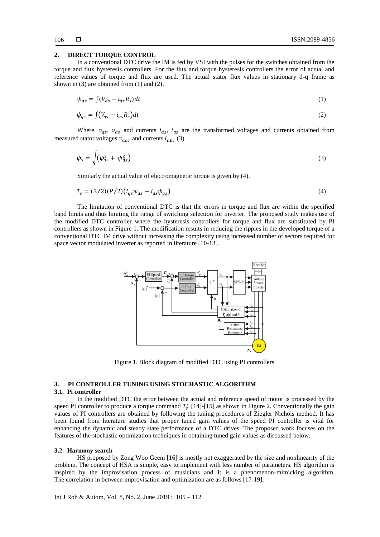### **2. DIRECT TORQUE CONTROL**

In a conventional DTC drive the IM is fed by VSI with the pulses for the switches obtained from the torque and flux hysteresis controllers. For the flux and torque hysteresis controllers the error of actual and reference values of torque and flux are used. The actual stator flux values in stationary d-q frame as shown in (3) are obtained from (1) and (2).

$$
\psi_{ds} = \int (V_{ds} - i_{ds} R_s) dt \tag{1}
$$

$$
\psi_{qs} = \int (V_{qs} - i_{qs} R_s) dt \tag{2}
$$

Where,  $v_{qs}$ ,  $v_{ds}$  and currents  $i_{ds}$ ,  $i_{qs}$  are the transformed voltages and currents obtained from measured stator voltages  $v_{abc}$  and currents  $i_{abc}$  (3)

$$
\psi_s = \sqrt{\left(\psi_{qs}^2 + \psi_{ds}^2\right)}
$$
\n(3)

Similarly the actual value of electromagnetic torque is given by (4).

$$
T_e = (3/2)(P/2)(i_{qs}\psi_{ds} - i_{ds}\psi_{qs})
$$
\n(4)

The limitation of conventional DTC is that the errors in torque and flux are within the specified band limits and thus limiting the range of switching selection for inverter. The proposed study makes use of the modified DTC controller where the hysteresis controllers for torque and flux are substituted by PI controllers as shown in Figure 1. The modification results in reducing the ripples in the developed torque of a conventional DTC IM drive without increasing the complexity using increased number of sectors required for space vector modulated inverter as reported in literature [10-13].



Figure 1. Block diagram of modified DTC using PI controllers

## **3. PI CONTROLLER TUNING USING STOCHASTIC ALGORITHM**

### **3.1. Pi controller**

In the modified DTC the error between the actual and reference speed of motor is processed by the speed PI controller to produce a torque command  $T_e^*$  [14]-[15] as shown in Figure 2. Conventionally the gain values of PI controllers are obtained by following the tuning procedures of Ziegler Nichols method. It has been found from literature studies that proper tuned gain values of the speed PI controller is vital for enhancing the dynamic and steady state performance of a DTC drives. The proposed work focuses on the features of the stochastic optimization techniques in obtaining tuned gain values as discussed below.

#### **3.2. Harmony search**

HS proposed by Zong Woo Geem [16] is mostly not exaggerated by the size and nonlinearity of the problem. The concept of HSA is simple, easy to implement with less number of parameters. HS algorithm is inspired by the improvisation process of musicians and it is a phenomenon-mimicking algorithm. The correlation in between improvisation and optimization are as follows [17-19]: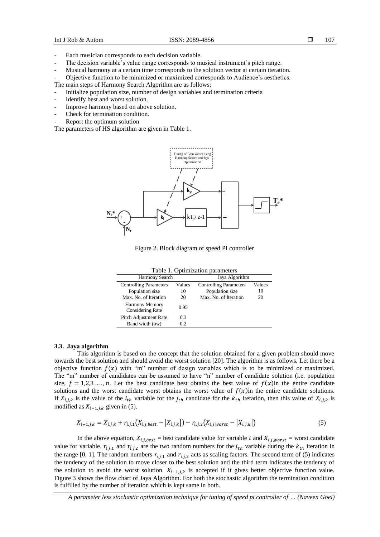- Each musician corresponds to each decision variable.
- The decision variable's value range corresponds to musical instrument's pitch range.
- Musical harmony at a certain time corresponds to the solution vector at certain iteration.
- Objective function to be minimized or maximized corresponds to Audience's aesthetics.
- The main steps of Harmony Search Algorithm are as follows:
- Initialize population size, number of design variables and termination criteria
- Identify best and worst solution.
- Improve harmony based on above solution.
- Check for termination condition.
- Report the optimum solution

The parameters of HS algorithm are given in Table 1.



Figure 2. Block diagram of speed PI controller

|  | Table 1. Optimization parameters |  |
|--|----------------------------------|--|
|--|----------------------------------|--|

| Harmony Search                            |        | Jaya Algorithm                |        |
|-------------------------------------------|--------|-------------------------------|--------|
| <b>Controlling Parameters</b>             | Values | <b>Controlling Parameters</b> | Values |
| Population size                           | 10     | Population size               | 10     |
| Max. No. of Iteration                     | 20     | Max. No. of Iteration         | 20     |
| <b>Harmony Memory</b><br>Considering Rate | 0.95   |                               |        |
| <b>Pitch Adjustment Rate</b>              | 0.3    |                               |        |
| Band width (bw)                           | 0.2    |                               |        |

#### **3.3. Jaya algorithm**

This algorithm is based on the concept that the solution obtained for a given problem should move towards the best solution and should avoid the worst solution [20]. The algorithm is as follows. Let there be a objective function  $f(x)$  with "m" number of design variables which is to be minimized or maximized. The "m" number of candidates can be assumed to have "n" number of candidate solution (i.e. population size,  $f = 1, 2, 3, ..., n$ . Let the best candidate best obtains the best value of  $f(x)$ in the entire candidate solutions and the worst candidate worst obtains the worst value of  $f(x)$  in the entire candidate solutions. If  $X_{i,j,k}$  is the value of the  $i_{th}$  variable for the  $j_{th}$  candidate for the  $k_{th}$  iteration, then this value of  $X_{i,j,k}$  is modified as  $X_{i+1,j,k}$  given in (5).

$$
X_{i+1,j,k} = X_{i,j,k} + r_{i,j,1}(X_{i,j,best} - |X_{i,j,k}|) - r_{i,j,2}(X_{i,j,worst} - |X_{i,j,k}|)
$$
\n(5)

In the above equation,  $X_{i,j,best}$  = best candidate value for variable i and  $X_{i,j,worst}$  = worst candidate value for variable.  $r_{i,j,1}$  and  $r_{i,j,2}$  are the two random numbers for the  $i_{th}$  variable during the  $k_{th}$  iteration in the range [0, 1]. The random numbers  $r_{i,j,1}$  and  $r_{i,j,2}$  acts as scaling factors. The second term of (5) indicates the tendency of the solution to move closer to the best solution and the third term indicates the tendency of the solution to avoid the worst solution.  $X_{i+1,j,k}$  is accepted if it gives better objective function value. Figure 3 shows the flow chart of Jaya Algorithm. For both the stochastic algorithm the termination condition is fulfilled by the number of iteration which is kept same in both.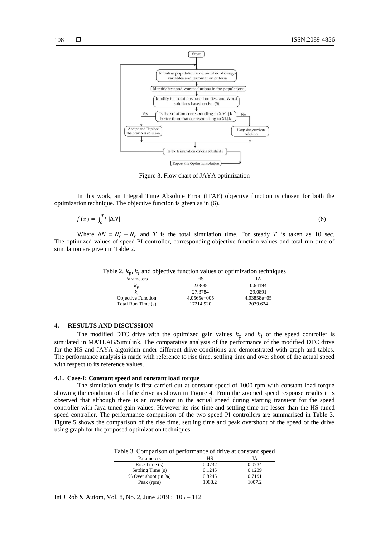

Figure 3. Flow chart of JAYA optimization

In this work, an Integral Time Absolute Error (ITAE) objective function is chosen for both the optimization technique. The objective function is given as in (6).

$$
f(x) = \int_0^T t \, |\Delta N| \tag{6}
$$

Where  $\Delta N = N_r^* - N_r$  and T is the total simulation time. For steady T is taken as 10 sec. The optimized values of speed PI controller, corresponding objective function values and total run time of simulation are given in Table 2.

Table 2.  $k_p, k_i$  and objective function values of optimization techniques

| . .                       |               |               |
|---------------------------|---------------|---------------|
| Parameters                | НS            | JA            |
| $\kappa_p$                | 2.0885        | 0.64194       |
| k,                        | 27.3784       | 29.0891       |
| <b>Objective Function</b> | $4.0565e+005$ | $4.03858e+05$ |
| Total Run Time (s)        | 17214.920     | 2039.624      |

## **4. RESULTS AND DISCUSSION**

The modified DTC drive with the optimized gain values  $k_p$  and  $k_i$  of the speed controller is simulated in MATLAB/Simulink. The comparative analysis of the performance of the modified DTC drive for the HS and JAYA algorithm under different drive conditions are demonstrated with graph and tables. The performance analysis is made with reference to rise time, settling time and over shoot of the actual speed with respect to its reference values.

#### **4.1. Case-I: Constant speed and constant load torque**

The simulation study is first carried out at constant speed of 1000 rpm with constant load torque showing the condition of a lathe drive as shown in Figure 4. From the zoomed speed response results it is observed that although there is an overshoot in the actual speed during starting transient for the speed controller with Jaya tuned gain values. However its rise time and settling time are lesser than the HS tuned speed controller. The performance comparison of the two speed PI controllers are summarised in Table 3. Figure 5 shows the comparison of the rise time, settling time and peak overshoot of the speed of the drive using graph for the proposed optimization techniques.

| Table 3. Comparison of performance of drive at constant speed |  |  |  |
|---------------------------------------------------------------|--|--|--|
|---------------------------------------------------------------|--|--|--|

| Parameters          | HS     |        |
|---------------------|--------|--------|
| Rise Time(s)        | 0.0732 | 0.0734 |
| Settling Time (s)   | 0.1245 | 0.1239 |
| % Over shoot (in %) | 0.8245 | 0.7191 |
| Peak (rpm)          | 1008.2 | 1007.2 |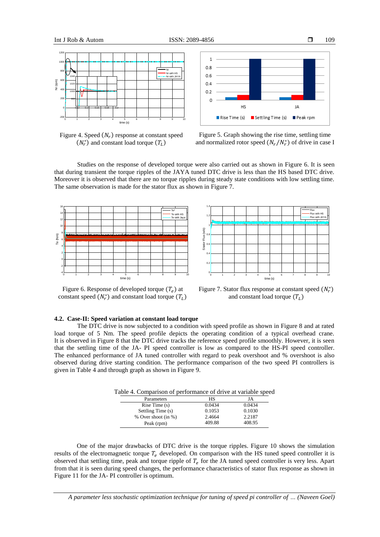0 1 2 3 4 5 6 7 8 9 10  $-200 ^{\circ}$ 200 400 600 800 <mark>(\*</mark> 1000 1200 time (s) Nr (rpm) 0.12 0.14 0.16 0.18 0.2 980 1000<sub>H</sub> 1020 1040<sub>m</sub> Nr Nr with HS Nr with JAYA

Figure 4. Speed  $(N_r)$  response at constant speed  $(N_r^*)$  and constant load torque  $(T_L)$ 



109

Figure 5. Graph showing the rise time, settling time and normalized rotor speed  $(N_r/N_r^*)$  of drive in case I

Studies on the response of developed torque were also carried out as shown in Figure 6. It is seen that during transient the torque ripples of the JAYA tuned DTC drive is less than the HS based DTC drive. Moreover it is observed that there are no torque ripples during steady state conditions with low settling time. The same observation is made for the stator flux as shown in Figure 7.



Figure 6. Response of developed torque  $(T_e)$  at constant speed  $(N_r^*)$  and constant load torque  $(T_L)$ 



Figure 7. Stator flux response at constant speed  $(N_r^*)$ and constant load torque  $(T_L)$ 

# **4.2. Case-II: Speed variation at constant load torque**

The DTC drive is now subjected to a condition with speed profile as shown in Figure 8 and at rated load torque of 5 Nm. The speed profile depicts the operating condition of a typical overhead crane. It is observed in Figure 8 that the DTC drive tracks the reference speed profile smoothly. However, it is seen that the settling time of the JA- PI speed controller is low as compared to the HS-PI speed controller. The enhanced performance of JA tuned controller with regard to peak overshoot and % overshoot is also observed during drive starting condition. The performance comparison of the two speed PI controllers is given in Table 4 and through graph as shown in Figure 9.

| l able 4. Comparison of performance of drive at variable spe |           |        |
|--------------------------------------------------------------|-----------|--------|
| Parameters                                                   | <b>HS</b> | JA     |
| Rise Time(s)                                                 | 0.0434    | 0.0434 |
| Settling Time (s)                                            | 0.1053    | 0.1030 |
| % Over shoot (in %)                                          | 2.4664    | 2.2187 |
| Peak (rpm)                                                   | 409.88    | 408.95 |

Table 4. Comparison of performance of drive at variable speed

One of the major drawbacks of DTC drive is the torque ripples. Figure 10 shows the simulation results of the electromagnetic torque  $T_e$  developed. On comparison with the HS tuned speed controller it is observed that settling time, peak and torque ripple of  $T_e$  for the JA tuned speed controller is very less. Apart from that it is seen during speed changes, the performance characteristics of stator flux response as shown in Figure 11 for the JA- PI controller is optimum.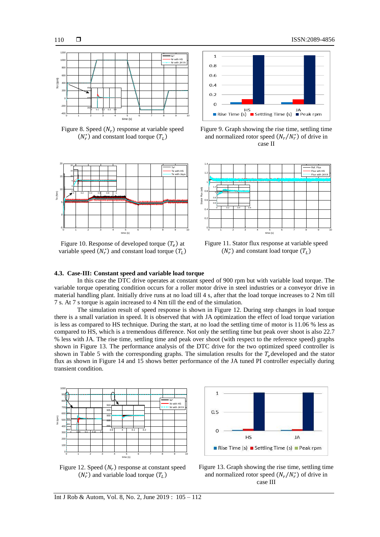$\Box$ 



Figure 8. Speed  $(N_r)$  response at variable speed  $(N_r^*)$  and constant load torque  $(T_L)$ 



Figure 10. Response of developed torque  $(T_e)$  at variable speed  $(N_r^*)$  and constant load torque  $(T_L)$ 



Figure 9. Graph showing the rise time, settling time and normalized rotor speed  $(N_r / N_r^*)$  of drive in case II



Figure 11. Stator flux response at variable speed  $(N_r^*)$  and constant load torque  $(T_L)$ 

## **4.3. Case-III: Constant speed and variable load torque**

In this case the DTC drive operates at constant speed of 900 rpm but with variable load torque. The variable torque operating condition occurs for a roller motor drive in steel industries or a conveyor drive in material handling plant. Initially drive runs at no load till 4 s, after that the load torque increases to 2 Nm till 7 s. At 7 s torque is again increased to 4 Nm till the end of the simulation.

The simulation result of speed response is shown in Figure 12. During step changes in load torque there is a small variation in speed. It is observed that with JA optimization the effect of load torque variation is less as compared to HS technique. During the start, at no load the settling time of motor is 11.06 % less as compared to HS, which is a tremendous difference. Not only the settling time but peak over shoot is also 22.7 % less with JA. The rise time, settling time and peak over shoot (with respect to the reference speed) graphs shown in Figure 13. The performance analysis of the DTC drive for the two optimized speed controller is shown in Table 5 with the corresponding graphs. The simulation results for the  $T_e$  developed and the stator flux as shown in Figure 14 and 15 shows better performance of the JA tuned PI controller especially during transient condition.



1  $0.5$  $HS$ JA Rise Time (s) Settling Time (s) Peak rpm

Figure 12. Speed  $(N_r)$  response at constant speed  $(N_r^*)$  and variable load torque  $(T_L)$ 

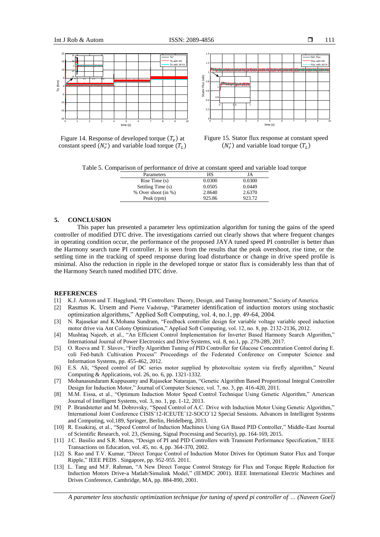



Figure 14. Response of developed torque  $(T_e)$  at constant speed  $(N_r^*)$  and variable load torque  $(T_L)$ 

Figure 15. Stator flux response at constant speed  $(N_r^*)$  and variable load torque  $(T_L)$ 

Table 5. Comparison of performance of drive at constant speed and variable load torque

| Parameters          | НS     | JA     |
|---------------------|--------|--------|
| Rise Time(s)        | 0.0300 | 0.0300 |
| Settling Time (s)   | 0.0505 | 0.0449 |
| % Over shoot (in %) | 2.8640 | 2.6370 |
| Peak (rpm)          | 925.86 | 923.72 |

## **5. CONCLUSION**

This paper has presented a parameter less optimization algorithm for tuning the gains of the speed controller of modified DTC drive. The investigations carried out clearly shows that where frequent changes in operating condition occur, the performance of the proposed JAYA tuned speed PI controller is better than the Harmony search tune PI controller. It is seen from the results that the peak overshoot, rise time, or the settling time in the tracking of speed response during load disturbance or change in drive speed profile is minimal. Also the reduction in ripple in the developed torque or stator flux is considerably less than that of the Harmony Search tuned modified DTC drive.

#### **REFERENCES**

- [1] K.J. Astrom and T. Hagglund, "PI Controllers: Theory, Design, and Tuning Instrument," Society of America.
- [2] [Rasmus K. Ursem and](https://www.sciencedirect.com/science/article/pii/S1568494603000486?via%3Dihub#!) Pierre Vadstrup, "Parameter identification of induction motors using stochastic optimization algorithms," Applied Soft Computing, vol. 4, no.1, pp. 49-64, 2004.
- [3] N. Rajasekar and K.Mohana Sundram, "Feedback controller design for variable voltage variable speed induction motor drive via Ant Colony Optimization," Applied Soft Computing, vol. 12, no. 8, pp. 2132-2136, 2012.
- [4] Mushtaq Najeeb, et al., "An Efficient Control Implementation for Inverter Based Harmony Search Algorithm," International Journal of Power Electronics and Drive Systems, vol. 8, no.1, pp. 279-289, 2017.
- [5] O. Roeva and T. Slavov, "Firefly Algorithm Tuning of PID Controller for Glucose Concentration Control during E. coli Fed-batch Cultivation Process" Proceedings of the Federated Conference on Computer Science and Information Systems, pp. 455-462, 2012.
- [6] E.S. Ali, "Speed control of DC series motor supplied by photovoltaic system via firefly algorithm," Neural Computing & Applications, vol. 26, no. 6, pp. 1321-1332.
- [7] Mohanasundaram Kuppusamy and Rajasekar Natarajan, "Genetic Algorithm Based Proportional Integral Controller Design for Induction Motor," Journal of Computer Science, vol. 7, no. 3, pp. 416-420, 2011.
- [8] M.M. Eissa, et al., "Optimum Induction Motor Speed Control Technique Using Genetic Algorithm," American Journal of Intelligent Systems, vol. 3, no. 1, pp. 1-12, 2013.
- [9] P. Brandstetter and M. Dobrovsky, "Speed Control of A.C. Drive with Induction Motor Using Genetic Algorithm," International Joint Conference CISIS'12-ICEUTE´12-SOCO´12 Special Sessions. Advances in Intelligent Systems and Computing, vol.189, Springer, Berlin, Heidelberg, 2013.
- [10] R. Essakiraj, et al., "Speed Control of Induction Machines Using GA Based PID Controller," Middle-East Journal of Scientific Research, vol. 23, (Sensing, Signal Processing and Security), pp. 164-169, 2015.
- [11] J.C. Basilio and S.R. Matos, "Design of PI and PID Controllers with Transient Performance Specification," IEEE Transactions on Education, vol. 45, no. 4, pp. 364-370, 2002.
- [12] S. Rao and T.V. Kumar, "Direct Torque Control of Induction Motor Drives for Optimum Stator Flux and Torque Ripple," IEEE PEDS . Singapore, pp. 952-955. 2011.
- [13] L. Tang and M.F. Rahman, "A New Direct Torque Control Strategy for Flux and Torque Ripple Reduction for Induction Motors Drive-a Matlab/Simulink Model," (IEMDC 2001). IEEE International Electric Machines and Drives Conference, Cambridge, MA, pp. 884-890, 2001.

*A parameter less stochastic optimization technique for tuning of speed pi controller of … (Naveen Goel)*